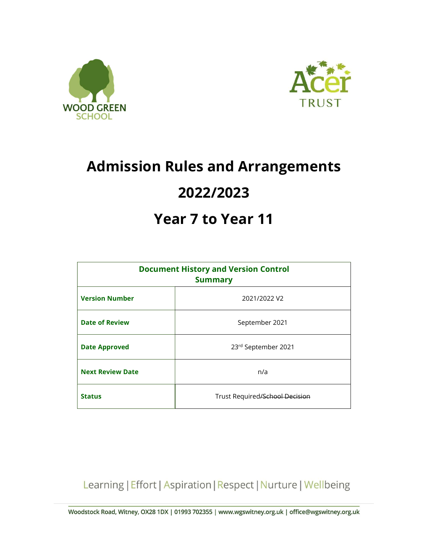



# Admission Rules and Arrangements 2022/2023

## Year 7 to Year 11

| <b>Document History and Version Control</b><br><b>Summary</b> |                                |
|---------------------------------------------------------------|--------------------------------|
| <b>Version Number</b>                                         | 2021/2022 V2                   |
| <b>Date of Review</b>                                         | September 2021                 |
| <b>Date Approved</b>                                          | 23rd September 2021            |
| <b>Next Review Date</b>                                       | n/a                            |
| <b>Status</b>                                                 | Trust Required/School Decision |

Learning | Effort | Aspiration | Respect | Nurture | Wellbeing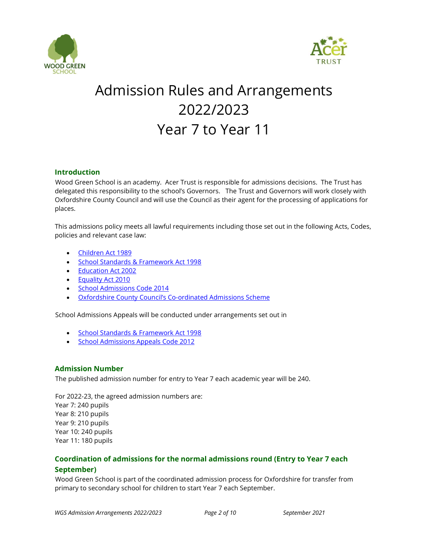



## Admission Rules and Arrangements 2022/2023 Year 7 to Year 11

### Introduction

Wood Green School is an academy. Acer Trust is responsible for admissions decisions. The Trust has delegated this responsibility to the school's Governors. The Trust and Governors will work closely with Oxfordshire County Council and will use the Council as their agent for the processing of applications for places.

This admissions policy meets all lawful requirements including those set out in the following Acts, Codes, policies and relevant case law:

- Children Act 1989
- **School Standards & Framework Act 1998**
- Education Act 2002
- Equality Act 2010
- School Admissions Code 2014
- Oxfordshire County Council's Co-ordinated Admissions Scheme

School Admissions Appeals will be conducted under arrangements set out in

- School Standards & Framework Act 1998
- School Admissions Appeals Code 2012

## Admission Number

The published admission number for entry to Year 7 each academic year will be 240.

For 2022-23, the agreed admission numbers are: Year 7: 240 pupils Year 8: 210 pupils Year 9: 210 pupils Year 10: 240 pupils Year 11: 180 pupils

## Coordination of admissions for the normal admissions round (Entry to Year 7 each September)

Wood Green School is part of the coordinated admission process for Oxfordshire for transfer from primary to secondary school for children to start Year 7 each September.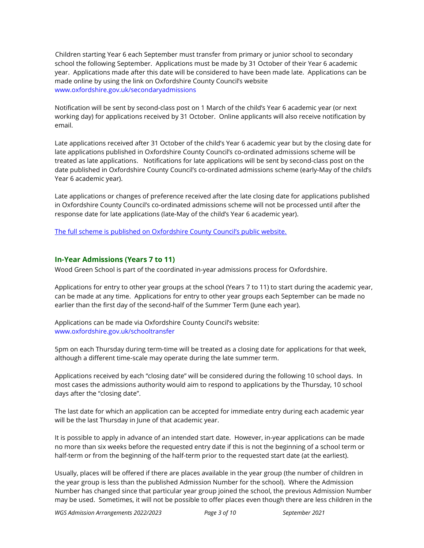Children starting Year 6 each September must transfer from primary or junior school to secondary school the following September. Applications must be made by 31 October of their Year 6 academic year. Applications made after this date will be considered to have been made late. Applications can be made online by using the link on Oxfordshire County Council's website www.oxfordshire.gov.uk/secondaryadmissions

Notification will be sent by second-class post on 1 March of the child's Year 6 academic year (or next working day) for applications received by 31 October. Online applicants will also receive notification by email.

Late applications received after 31 October of the child's Year 6 academic year but by the closing date for late applications published in Oxfordshire County Council's co-ordinated admissions scheme will be treated as late applications. Notifications for late applications will be sent by second-class post on the date published in Oxfordshire County Council's co-ordinated admissions scheme (early-May of the child's Year 6 academic year).

Late applications or changes of preference received after the late closing date for applications published in Oxfordshire County Council's co-ordinated admissions scheme will not be processed until after the response date for late applications (late-May of the child's Year 6 academic year).

The full scheme is published on Oxfordshire County Council's public website.

## In-Year Admissions (Years 7 to 11)

Wood Green School is part of the coordinated in-year admissions process for Oxfordshire.

Applications for entry to other year groups at the school (Years 7 to 11) to start during the academic year, can be made at any time. Applications for entry to other year groups each September can be made no earlier than the first day of the second-half of the Summer Term (June each year).

Applications can be made via Oxfordshire County Council's website: www.oxfordshire.gov.uk/schooltransfer

5pm on each Thursday during term-time will be treated as a closing date for applications for that week, although a different time-scale may operate during the late summer term.

Applications received by each "closing date" will be considered during the following 10 school days. In most cases the admissions authority would aim to respond to applications by the Thursday, 10 school days after the "closing date".

The last date for which an application can be accepted for immediate entry during each academic year will be the last Thursday in June of that academic year.

It is possible to apply in advance of an intended start date. However, in-year applications can be made no more than six weeks before the requested entry date if this is not the beginning of a school term or half-term or from the beginning of the half-term prior to the requested start date (at the earliest).

Usually, places will be offered if there are places available in the year group (the number of children in the year group is less than the published Admission Number for the school). Where the Admission Number has changed since that particular year group joined the school, the previous Admission Number may be used. Sometimes, it will not be possible to offer places even though there are less children in the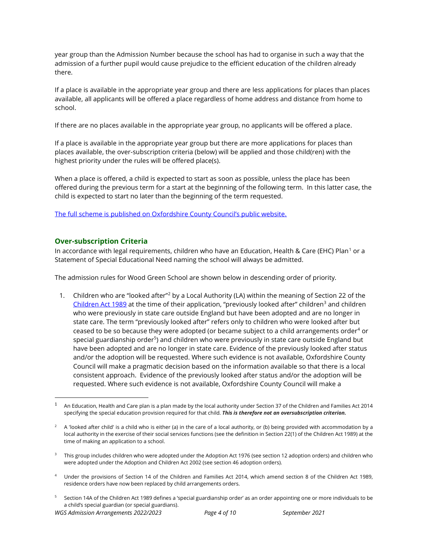year group than the Admission Number because the school has had to organise in such a way that the admission of a further pupil would cause prejudice to the efficient education of the children already there.

If a place is available in the appropriate year group and there are less applications for places than places available, all applicants will be offered a place regardless of home address and distance from home to school.

If there are no places available in the appropriate year group, no applicants will be offered a place.

If a place is available in the appropriate year group but there are more applications for places than places available, the over-subscription criteria (below) will be applied and those child(ren) with the highest priority under the rules will be offered place(s).

When a place is offered, a child is expected to start as soon as possible, unless the place has been offered during the previous term for a start at the beginning of the following term. In this latter case, the child is expected to start no later than the beginning of the term requested.

The full scheme is published on Oxfordshire County Council's public website.

## Over-subscription Criteria

In accordance with legal requirements, children who have an Education, Health & Care (EHC) Plan $^{\rm 1}$  or a  $^{\rm 1}$ Statement of Special Educational Need naming the school will always be admitted.

The admission rules for Wood Green School are shown below in descending order of priority.

1. Children who are "looked after"<sup>2</sup> by a Local Authority (LA) within the meaning of Section 22 of the Children Act 1989 at the time of their application, "previously looked after" children<sup>3</sup> and children who were previously in state care outside England but have been adopted and are no longer in state care. The term "previously looked after" refers only to children who were looked after but ceased to be so because they were adopted (or became subject to a child arrangements order $^4$  or special guardianship order<sup>5</sup>) and children who were previously in state care outside England but have been adopted and are no longer in state care. Evidence of the previously looked after status and/or the adoption will be requested. Where such evidence is not available, Oxfordshire County Council will make a pragmatic decision based on the information available so that there is a local consistent approach. Evidence of the previously looked after status and/or the adoption will be requested. Where such evidence is not available, Oxfordshire County Council will make a

<sup>1</sup> An Education, Health and Care plan is a plan made by the local authority under Section 37 of the Children and Families Act 2014 specifying the special education provision required for that child. This is therefore not an oversubscription criterion.

 $^2$  A 'looked after child' is a child who is either (a) in the care of a local authority, or (b) being provided with accommodation by a local authority in the exercise of their social services functions (see the definition in Section 22(1) of the Children Act 1989) at the time of making an application to a school.

<sup>&</sup>lt;sup>3</sup> This group includes children who were adopted under the Adoption Act 1976 (see section 12 adoption orders) and children who were adopted under the Adoption and Children Act 2002 (see section 46 adoption orders).

<sup>4</sup> Under the provisions of Section 14 of the Children and Families Act 2014, which amend section 8 of the Children Act 1989, residence orders have now been replaced by child arrangements orders.

<sup>5</sup> Section 14A of the Children Act 1989 defines a 'special guardianship order' as an order appointing one or more individuals to be a child's special guardian (or special guardians).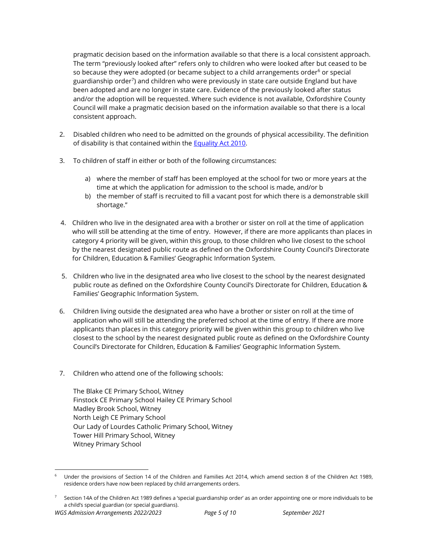pragmatic decision based on the information available so that there is a local consistent approach. The term "previously looked after" refers only to children who were looked after but ceased to be so because they were adopted (or became subject to a child arrangements order<sup>6</sup> or special guardianship order<sup>7</sup>) and children who were previously in state care outside England but have been adopted and are no longer in state care. Evidence of the previously looked after status and/or the adoption will be requested. Where such evidence is not available, Oxfordshire County Council will make a pragmatic decision based on the information available so that there is a local consistent approach.

- 2. Disabled children who need to be admitted on the grounds of physical accessibility. The definition of disability is that contained within the Equality Act 2010.
- 3. To children of staff in either or both of the following circumstances:
	- a) where the member of staff has been employed at the school for two or more years at the time at which the application for admission to the school is made, and/or b
	- b) the member of staff is recruited to fill a vacant post for which there is a demonstrable skill shortage."
- 4. Children who live in the designated area with a brother or sister on roll at the time of application who will still be attending at the time of entry. However, if there are more applicants than places in category 4 priority will be given, within this group, to those children who live closest to the school by the nearest designated public route as defined on the Oxfordshire County Council's Directorate for Children, Education & Families' Geographic Information System.
- 5. Children who live in the designated area who live closest to the school by the nearest designated public route as defined on the Oxfordshire County Council's Directorate for Children, Education & Families' Geographic Information System.
- 6. Children living outside the designated area who have a brother or sister on roll at the time of application who will still be attending the preferred school at the time of entry. If there are more applicants than places in this category priority will be given within this group to children who live closest to the school by the nearest designated public route as defined on the Oxfordshire County Council's Directorate for Children, Education & Families' Geographic Information System.
- 7. Children who attend one of the following schools:

The Blake CE Primary School, Witney Finstock CE Primary School Hailey CE Primary School Madley Brook School, Witney North Leigh CE Primary School Our Lady of Lourdes Catholic Primary School, Witney Tower Hill Primary School, Witney Witney Primary School

<sup>6</sup> Under the provisions of Section 14 of the Children and Families Act 2014, which amend section 8 of the Children Act 1989, residence orders have now been replaced by child arrangements orders.

<sup>7</sup> Section 14A of the Children Act 1989 defines a 'special guardianship order' as an order appointing one or more individuals to be a child's special guardian (or special guardians).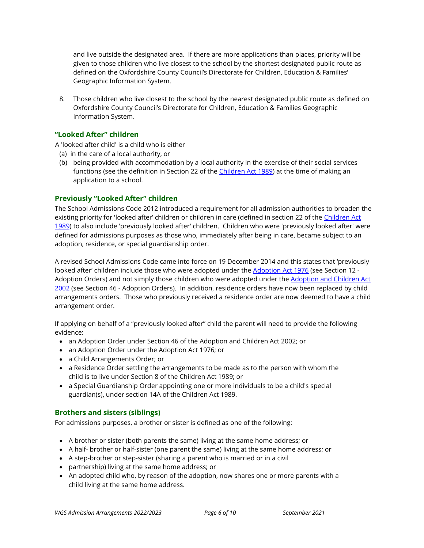and live outside the designated area. If there are more applications than places, priority will be given to those children who live closest to the school by the shortest designated public route as defined on the Oxfordshire County Council's Directorate for Children, Education & Families' Geographic Information System.

8. Those children who live closest to the school by the nearest designated public route as defined on Oxfordshire County Council's Directorate for Children, Education & Families Geographic Information System.

## "Looked After" children

A 'looked after child' is a child who is either

- (a) in the care of a local authority, or
- (b) being provided with accommodation by a local authority in the exercise of their social services functions (see the definition in Section 22 of the Children Act 1989) at the time of making an application to a school.

## Previously "Looked After" children

The School Admissions Code 2012 introduced a requirement for all admission authorities to broaden the existing priority for 'looked after' children or children in care (defined in section 22 of the Children Act 1989) to also include 'previously looked after' children. Children who were 'previously looked after' were defined for admissions purposes as those who, immediately after being in care, became subject to an adoption, residence, or special guardianship order.

A revised School Admissions Code came into force on 19 December 2014 and this states that 'previously looked after' children include those who were adopted under the Adoption Act 1976 (see Section 12 -Adoption Orders) and not simply those children who were adopted under the Adoption and Children Act 2002 (see Section 46 - Adoption Orders). In addition, residence orders have now been replaced by child arrangements orders. Those who previously received a residence order are now deemed to have a child arrangement order.

If applying on behalf of a "previously looked after" child the parent will need to provide the following evidence:

- an Adoption Order under Section 46 of the Adoption and Children Act 2002; or
- an Adoption Order under the Adoption Act 1976; or
- a Child Arrangements Order; or
- a Residence Order settling the arrangements to be made as to the person with whom the child is to live under Section 8 of the Children Act 1989; or
- a Special Guardianship Order appointing one or more individuals to be a child's special guardian(s), under section 14A of the Children Act 1989.

## Brothers and sisters (siblings)

For admissions purposes, a brother or sister is defined as one of the following:

- A brother or sister (both parents the same) living at the same home address; or
- A half- brother or half-sister (one parent the same) living at the same home address; or
- A step-brother or step-sister (sharing a parent who is married or in a civil
- partnership) living at the same home address; or
- An adopted child who, by reason of the adoption, now shares one or more parents with a child living at the same home address.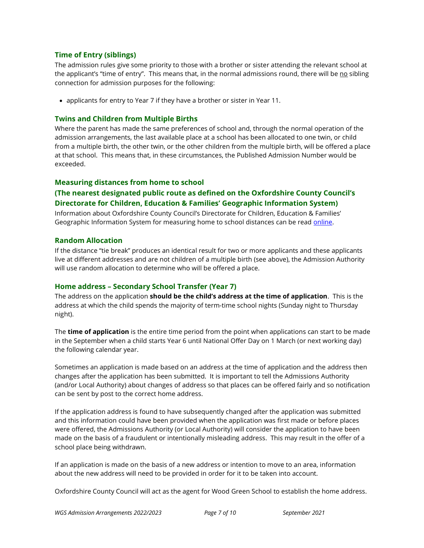### Time of Entry (siblings)

The admission rules give some priority to those with a brother or sister attending the relevant school at the applicant's "time of entry". This means that, in the normal admissions round, there will be no sibling connection for admission purposes for the following:

applicants for entry to Year 7 if they have a brother or sister in Year 11.

## Twins and Children from Multiple Births

Where the parent has made the same preferences of school and, through the normal operation of the admission arrangements, the last available place at a school has been allocated to one twin, or child from a multiple birth, the other twin, or the other children from the multiple birth, will be offered a place at that school. This means that, in these circumstances, the Published Admission Number would be exceeded.

## Measuring distances from home to school

## (The nearest designated public route as defined on the Oxfordshire County Council's Directorate for Children, Education & Families' Geographic Information System)

Information about Oxfordshire County Council's Directorate for Children, Education & Families' Geographic Information System for measuring home to school distances can be read online.

### Random Allocation

If the distance "tie break" produces an identical result for two or more applicants and these applicants live at different addresses and are not children of a multiple birth (see above), the Admission Authority will use random allocation to determine who will be offered a place.

### Home address – Secondary School Transfer (Year 7)

The address on the application should be the child's address at the time of application. This is the address at which the child spends the majority of term-time school nights (Sunday night to Thursday night).

The **time of application** is the entire time period from the point when applications can start to be made in the September when a child starts Year 6 until National Offer Day on 1 March (or next working day) the following calendar year.

Sometimes an application is made based on an address at the time of application and the address then changes after the application has been submitted. It is important to tell the Admissions Authority (and/or Local Authority) about changes of address so that places can be offered fairly and so notification can be sent by post to the correct home address.

If the application address is found to have subsequently changed after the application was submitted and this information could have been provided when the application was first made or before places were offered, the Admissions Authority (or Local Authority) will consider the application to have been made on the basis of a fraudulent or intentionally misleading address. This may result in the offer of a school place being withdrawn.

If an application is made on the basis of a new address or intention to move to an area, information about the new address will need to be provided in order for it to be taken into account.

Oxfordshire County Council will act as the agent for Wood Green School to establish the home address.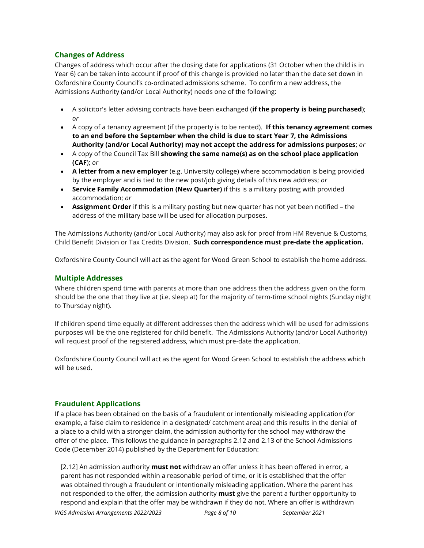## Changes of Address

Changes of address which occur after the closing date for applications (31 October when the child is in Year 6) can be taken into account if proof of this change is provided no later than the date set down in Oxfordshire County Council's co-ordinated admissions scheme. To confirm a new address, the Admissions Authority (and/or Local Authority) needs one of the following:

- A solicitor's letter advising contracts have been exchanged (if the property is being purchased); or
- A copy of a tenancy agreement (if the property is to be rented). If this tenancy agreement comes to an end before the September when the child is due to start Year 7, the Admissions Authority (and/or Local Authority) may not accept the address for admissions purposes; or
- A copy of the Council Tax Bill showing the same name(s) as on the school place application (CAF); or
- A letter from a new employer (e.g. University college) where accommodation is being provided by the employer and is tied to the new post/job giving details of this new address; or
- Service Family Accommodation (New Quarter) if this is a military posting with provided accommodation; or
- Assignment Order if this is a military posting but new quarter has not yet been notified the address of the military base will be used for allocation purposes.

The Admissions Authority (and/or Local Authority) may also ask for proof from HM Revenue & Customs, Child Benefit Division or Tax Credits Division. Such correspondence must pre-date the application.

Oxfordshire County Council will act as the agent for Wood Green School to establish the home address.

### Multiple Addresses

Where children spend time with parents at more than one address then the address given on the form should be the one that they live at (i.e. sleep at) for the majority of term-time school nights (Sunday night to Thursday night).

If children spend time equally at different addresses then the address which will be used for admissions purposes will be the one registered for child benefit. The Admissions Authority (and/or Local Authority) will request proof of the registered address, which must pre-date the application.

Oxfordshire County Council will act as the agent for Wood Green School to establish the address which will be used.

## Fraudulent Applications

If a place has been obtained on the basis of a fraudulent or intentionally misleading application (for example, a false claim to residence in a designated/ catchment area) and this results in the denial of a place to a child with a stronger claim, the admission authority for the school may withdraw the offer of the place. This follows the guidance in paragraphs 2.12 and 2.13 of the School Admissions Code (December 2014) published by the Department for Education:

[2.12] An admission authority must not withdraw an offer unless it has been offered in error, a parent has not responded within a reasonable period of time, or it is established that the offer was obtained through a fraudulent or intentionally misleading application. Where the parent has not responded to the offer, the admission authority **must** give the parent a further opportunity to respond and explain that the offer may be withdrawn if they do not. Where an offer is withdrawn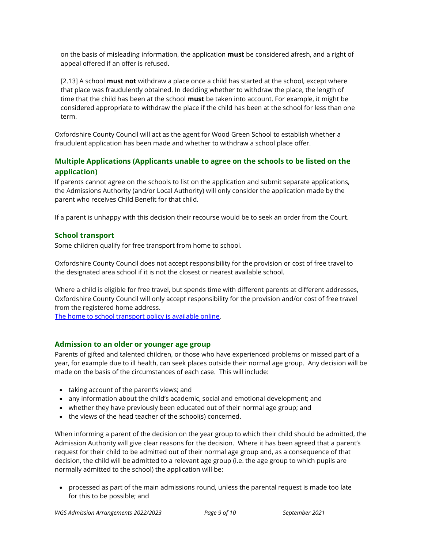on the basis of misleading information, the application **must** be considered afresh, and a right of appeal offered if an offer is refused.

[2.13] A school **must not** withdraw a place once a child has started at the school, except where that place was fraudulently obtained. In deciding whether to withdraw the place, the length of time that the child has been at the school must be taken into account. For example, it might be considered appropriate to withdraw the place if the child has been at the school for less than one term.

Oxfordshire County Council will act as the agent for Wood Green School to establish whether a fraudulent application has been made and whether to withdraw a school place offer.

## Multiple Applications (Applicants unable to agree on the schools to be listed on the application)

If parents cannot agree on the schools to list on the application and submit separate applications, the Admissions Authority (and/or Local Authority) will only consider the application made by the parent who receives Child Benefit for that child.

If a parent is unhappy with this decision their recourse would be to seek an order from the Court.

## School transport

Some children qualify for free transport from home to school.

Oxfordshire County Council does not accept responsibility for the provision or cost of free travel to the designated area school if it is not the closest or nearest available school.

Where a child is eligible for free travel, but spends time with different parents at different addresses, Oxfordshire County Council will only accept responsibility for the provision and/or cost of free travel from the registered home address.

The home to school transport policy is available online.

### Admission to an older or younger age group

Parents of gifted and talented children, or those who have experienced problems or missed part of a year, for example due to ill health, can seek places outside their normal age group. Any decision will be made on the basis of the circumstances of each case. This will include:

- taking account of the parent's views; and
- any information about the child's academic, social and emotional development; and
- whether they have previously been educated out of their normal age group; and
- the views of the head teacher of the school(s) concerned.

When informing a parent of the decision on the year group to which their child should be admitted, the Admission Authority will give clear reasons for the decision. Where it has been agreed that a parent's request for their child to be admitted out of their normal age group and, as a consequence of that decision, the child will be admitted to a relevant age group (i.e. the age group to which pupils are normally admitted to the school) the application will be:

 processed as part of the main admissions round, unless the parental request is made too late for this to be possible; and